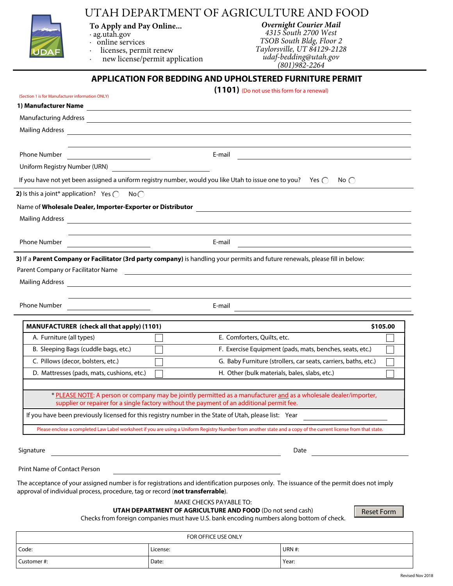## UTAH DEPARTMENT OF AGRICULTURE AND FOOD



## **To Apply and Pay Online...**

· ag.utah.gov · online services

- 
- · licenses, permit renew

new license/permit application

*Overnight Courier Mail 4315 South 2700 West TSOB South Bldg, Floor 2 Taylorsville, UT 84129-2128 udaf-bedding@utah.gov*

*(801)982-2264*

## **APPLICATION FOR BEDDING AND UPHOLSTERED FURNITURE PERMIT**

| (Section 1 is for Manufacturer information ONLY)                              |                                                                                                                      | (1101) (Do not use this form for a renewal)                                                                                                                                                                                              |          |
|-------------------------------------------------------------------------------|----------------------------------------------------------------------------------------------------------------------|------------------------------------------------------------------------------------------------------------------------------------------------------------------------------------------------------------------------------------------|----------|
|                                                                               |                                                                                                                      |                                                                                                                                                                                                                                          |          |
|                                                                               |                                                                                                                      | Manufacturing Address <b>Communication</b> Communication and Communication and Communication and Communication and Communication and Communication and Communication and Communication and Communication and Communication and Comm      |          |
| <b>Mailing Address</b>                                                        |                                                                                                                      |                                                                                                                                                                                                                                          |          |
|                                                                               |                                                                                                                      |                                                                                                                                                                                                                                          |          |
| <b>Phone Number</b>                                                           | <u> 1980 - Andrea Station, politik eta provincia eta provincia eta provincia eta provincia eta provincia eta pro</u> | E-mail                                                                                                                                                                                                                                   |          |
| Uniform Registry Number (URN)                                                 |                                                                                                                      |                                                                                                                                                                                                                                          |          |
|                                                                               |                                                                                                                      | If you have not yet been assigned a uniform registry number, would you like Utah to issue one to you? Yes $\bigcap$<br>No $\bigcap$                                                                                                      |          |
| <b>2)</b> Is this a joint* application? Yes $\bigcap$                         | No                                                                                                                   |                                                                                                                                                                                                                                          |          |
| Name of Wholesale Dealer, Importer-Exporter or Distributor                    |                                                                                                                      | and the state of the state of the state of the state of the state of the state of the state of the                                                                                                                                       |          |
| <b>Mailing Address</b>                                                        |                                                                                                                      | <u> 1989 - Johann Stoff, deutscher Stoffen und der Stoffen und der Stoffen und der Stoffen und der Stoffen und der</u>                                                                                                                   |          |
|                                                                               |                                                                                                                      |                                                                                                                                                                                                                                          |          |
| Phone Number                                                                  |                                                                                                                      | E-mail                                                                                                                                                                                                                                   |          |
| Parent Company or Facilitator Name<br><b>Mailing Address</b>                  |                                                                                                                      | <u> 1980 - Jan Samuel Barbara, martin da basar a shekara 1980 - An tsara 1980 - An tsara 1980 - An tsara 1980 - </u><br>and the control of the control of the control of the control of the control of the control of the control of the |          |
| <b>Phone Number</b>                                                           |                                                                                                                      | E-mail<br>the control of the control of the control of the control of the control of                                                                                                                                                     |          |
|                                                                               | <b>MANUFACTURER</b> (check all that apply) (1101)                                                                    |                                                                                                                                                                                                                                          | \$105.00 |
| A. Furniture (all types)                                                      |                                                                                                                      | E. Comforters, Quilts, etc.                                                                                                                                                                                                              |          |
| B. Sleeping Bags (cuddle bags, etc.)                                          |                                                                                                                      | F. Exercise Equipment (pads, mats, benches, seats, etc.)                                                                                                                                                                                 |          |
| C. Pillows (decor, bolsters, etc.)                                            |                                                                                                                      | G. Baby Furniture (strollers, car seats, carriers, baths, etc.)                                                                                                                                                                          |          |
|                                                                               | D. Mattresses (pads, mats, cushions, etc.)                                                                           | H. Other (bulk materials, bales, slabs, etc.)                                                                                                                                                                                            |          |
|                                                                               |                                                                                                                      | * PLEASE NOTE: A person or company may be jointly permitted as a manufacturer and as a wholesale dealer/importer,<br>supplier or repairer for a single factory without the payment of an additional permit fee.                          |          |
|                                                                               |                                                                                                                      | If you have been previously licensed for this registry number in the State of Utah, please list: Year                                                                                                                                    |          |
|                                                                               |                                                                                                                      | Please enclose a completed Law Label worksheet if you are using a Uniform Registry Number from another state and a copy of the current license from that state.                                                                          |          |
| Signature                                                                     |                                                                                                                      | Date                                                                                                                                                                                                                                     |          |
| <b>Print Name of Contact Person</b>                                           |                                                                                                                      |                                                                                                                                                                                                                                          |          |
| approval of individual process, procedure, tag or record (not transferrable). |                                                                                                                      | The acceptance of your assigned number is for registrations and identification purposes only. The issuance of the permit does not imply<br>MAKE CHECKS PAYABLE TO:<br><b>UTALI DEDADTMENT OF ACRICULTUDE AND FOOD (Department cash)</b>  |          |

**UTAH DEPARTMENT OF AGRICULTURE AND FOOD** (Do not send cash)

Reset Form

Checks from foreign companies must have U.S. bank encoding numbers along bottom of check.

|            | FOR OFFICE USE ONLY |               |
|------------|---------------------|---------------|
| Code:      | License:            | <b>URN #:</b> |
| Customer#: | Date:               | Year:         |